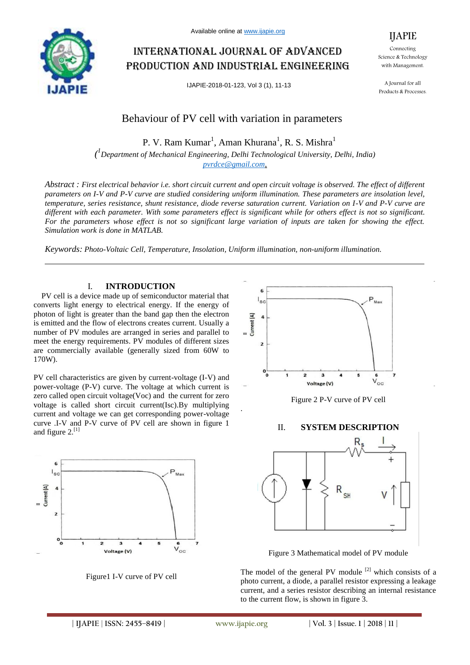

# International journal of advanced production and industrial engineering

IJAPIE-2018-01-123, Vol 3 (1), 11-13

Connecting Science & Technology with Management.

IJAPIE

A Journal for all Products & Processes.

# Behaviour of PV cell with variation in parameters

P. V. Ram Kumar<sup>1</sup>, Aman Khurana<sup>1</sup>, R. S. Mishra<sup>1</sup>

*( 1 Department of Mechanical Engineering, Delhi Technological University, Delhi, India) pvrdce@gmail.com,*

*Abstract : First electrical behavior i.e. short circuit current and open circuit voltage is observed. The effect of different parameters on I-V and P-V curve are studied considering uniform illumination. These parameters are insolation level, temperature, series resistance, shunt resistance, diode reverse saturation current. Variation on I-V and P-V curve are different with each parameter. With some parameters effect is significant while for others effect is not so significant. For the parameters whose effect is not so significant large variation of inputs are taken for showing the effect. Simulation work is done in MATLAB.*

*Keywords: Photo-Voltaic Cell, Temperature, Insolation, Uniform illumination, non-uniform illumination.*

#### I. **INTRODUCTION**

PV cell is a device made up of semiconductor material that converts light energy to electrical energy. If the energy of photon of light is greater than the band gap then the electron is emitted and the flow of electrons creates current. Usually a number of PV modules are arranged in series and parallel to meet the energy requirements. PV modules of different sizes are commercially available (generally sized from 60W to 170W).

PV cell characteristics are given by current-voltage (I-V) and power-voltage (P-V) curve. The voltage at which current is zero called open circuit voltage(Voc) and the current for zero voltage is called short circuit current(Isc).By multiplying current and voltage we can get corresponding power-voltage curve .I-V and P-V curve of PV cell are shown in figure 1 and figure  $2.^{[1]}$ 



Figure1 I-V curve of PV cell



Figure 2 P-V curve of PV cell

#### II. **SYSTEM DESCRIPTION**



Figure 3 Mathematical model of PV module

The model of the general PV module  $[2]$  which consists of a photo current, a diode, a parallel resistor expressing a leakage current, and a series resistor describing an internal resistance to the current flow, is shown in figure 3.

.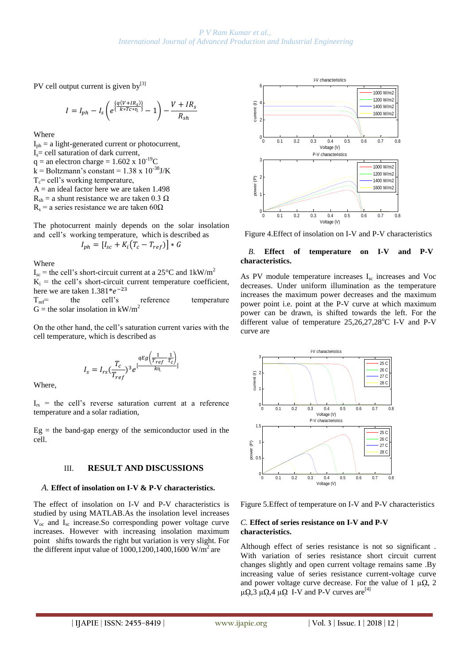PV cell output current is given by $[3]$ 

$$
I = I_{ph} - I_s \left( e^{\left\{ \frac{q(V + IR_s)}{k * T c * n_1} \right\}} - 1 \right) - \frac{V + IR_s}{R_{sh}}
$$

Where

 $I_{\text{ph}} = a$  light-generated current or photocurrent,  $I_s$  = cell saturation of dark current,  $q =$  an electron charge = 1.602 x 10<sup>-19</sup>C k = Boltzmann's constant =  $1.38 \times 10^{-38}$ J/K  $T_c$ = cell's working temperature,  $A =$  an ideal factor here we are taken 1.498  $R_{sh}$  = a shunt resistance we are taken 0.3  $\Omega$ 

 $R_s$  = a series resistance we are taken 60 $\Omega$ 

The photocurrent mainly depends on the solar insolation and cell's working temperature, which is described as

$$
I_{ph} = [I_{sc} + K_i(T_c - T_{ref})] * G
$$

Where

 $I_{\rm sc}$  = the cell's short-circuit current at a 25°C and 1kW/m<sup>2</sup>  $K_i$  = the cell's short-circuit current temperature coefficient, here we are taken  $1.381^*e^ T_{ref}$  the cell's reference temperature

G = the solar insolation in  $kW/m^2$ 

On the other hand, the cell's saturation current varies with the cell temperature, which is described as

$$
I_s = I_{rs} \left(\frac{T_c}{T_{ref}}\right)^3 e^{\left[\frac{qEg\left(\frac{1}{T_{ref}} - \frac{1}{T_c}\right)}{k\eta}\right]}
$$

Where,

 $I_{rs}$  = the cell's reverse saturation current at a reference temperature and a solar radiation,

 $Eg =$  the band-gap energy of the semiconductor used in the cell.

#### III. **RESULT AND DISCUSSIONS**

#### *A.* **Effect of insolation on I-V & P-V characteristics.**

The effect of insolation on I-V and P-V characteristics is studied by using MATLAB.As the insolation level increases  $V_{\text{oc}}$  and  $I_{\text{sc}}$  increase. So corresponding power voltage curve increases. However with increasing insolation maximum point shifts towards the right but variation is very slight. For the different input value of  $1000, 1200, 1400, 1600$  W/m<sup>2</sup> are



Figure 4.Effect of insolation on I-V and P-V characteristics

#### *B.* **Effect of temperature on I-V and P-V characteristics.**

As PV module temperature increases  $I_{sc}$  increases and Voc decreases. Under uniform illumination as the temperature increases the maximum power decreases and the maximum power point i.e. point at the P-V curve at which maximum power can be drawn, is shifted towards the left. For the different value of temperature  $25,26,27,28^{\circ}$ C I-V and P-V curve are



Figure 5.Effect of temperature on I-V and P-V characteristics

#### *C.* **Effect of series resistance on I-V and P-V characteristics.**

Although effect of series resistance is not so significant . With variation of series resistance short circuit current changes slightly and open current voltage remains same .By increasing value of series resistance current-voltage curve and power voltage curve decrease. For the value of 1  $\mu\Omega$ , 2  $\mu\Omega$ ,3  $\mu\Omega$ ,4  $\mu\Omega$  I-V and P-V curves are<sup>[4]</sup>